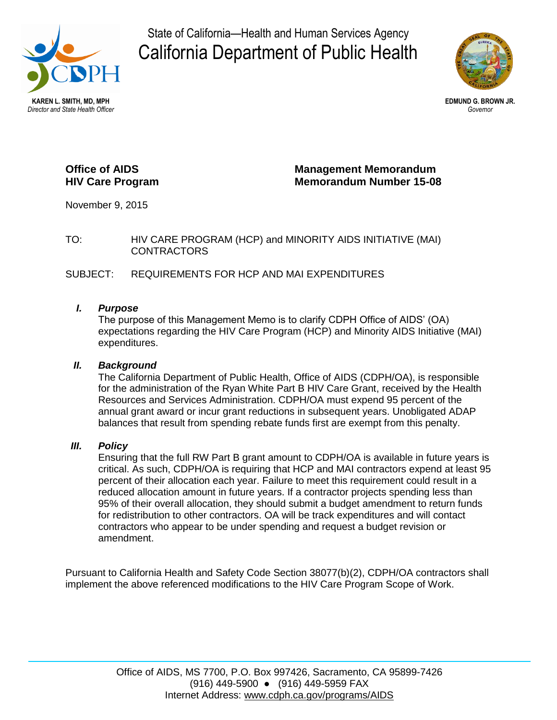

State of California—Health and Human Services Agency California Department of Public Health



# **Office of AIDS HIV Care Program**

**Management Memorandum Memorandum Number 15-08** 

November 9, 2015

TO: HIV CARE PROGRAM (HCP) and MINORITY AIDS INITIATIVE (MAI) CONTRACTORS

SUBJECT: REQUIREMENTS FOR HCP AND MAI EXPENDITURES

### *I. Purpose*

The purpose of this Management Memo is to clarify CDPH Office of AIDS' (OA) expectations regarding the HIV Care Program (HCP) and Minority AIDS Initiative (MAI) expenditures.

## *II. Background*

The California Department of Public Health, Office of AIDS (CDPH/OA), is responsible for the administration of the Ryan White Part B HIV Care Grant, received by the Health Resources and Services Administration. CDPH/OA must expend 95 percent of the annual grant award or incur grant reductions in subsequent years. Unobligated ADAP balances that result from spending rebate funds first are exempt from this penalty.

### *III. Policy*

Ensuring that the full RW Part B grant amount to CDPH/OA is available in future years is critical. As such, CDPH/OA is requiring that HCP and MAI contractors expend at least 95 percent of their allocation each year. Failure to meet this requirement could result in a reduced allocation amount in future years. If a contractor projects spending less than 95% of their overall allocation, they should submit a budget amendment to return funds for redistribution to other contractors. OA will be track expenditures and will contact contractors who appear to be under spending and request a budget revision or amendment.

Pursuant to California Health and Safety Code Section 38077(b)(2), CDPH/OA contractors shall implement the above referenced modifications to the HIV Care Program Scope of Work.